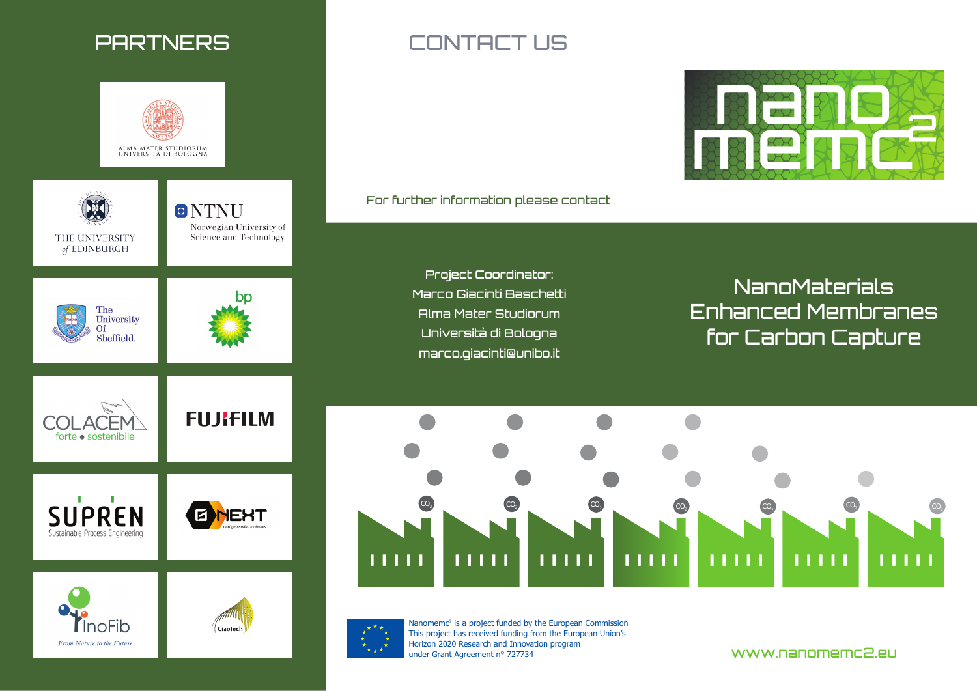

From Nature to the Future

# PARTNERS CONTACT US

For further information please contact

Project Coordinator: Marco Giacinti Baschetti Alma Mater Studiorum Università di Bologna marco.giacinti@unibo.it

NanoMaterials Enhanced Membranes for Carbon Capture

**MEDITERRY** 

BERTHE





Nanomemc<sup>2</sup> is a project funded by the European Commission This project has received funding from the European Union's Horizon 2020 Research and Innovation program under Grant Agreement n° 727734

www.nanomemc2.eu